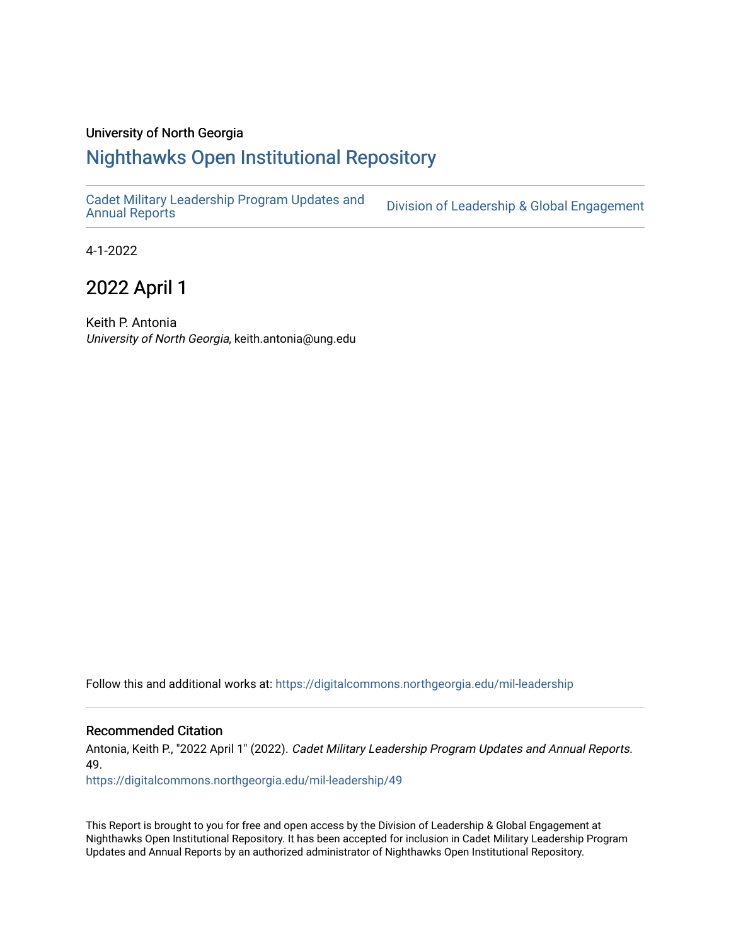#### University of North Georgia

## [Nighthawks Open Institutional Repository](https://digitalcommons.northgeorgia.edu/)

[Cadet Military Leadership Program Updates and](https://digitalcommons.northgeorgia.edu/mil-leadership) 

Division of Leadership & Global Engagement

4-1-2022

## 2022 April 1

Keith P. Antonia University of North Georgia, keith.antonia@ung.edu

Follow this and additional works at: [https://digitalcommons.northgeorgia.edu/mil-leadership](https://digitalcommons.northgeorgia.edu/mil-leadership?utm_source=digitalcommons.northgeorgia.edu%2Fmil-leadership%2F49&utm_medium=PDF&utm_campaign=PDFCoverPages) 

#### Recommended Citation

Antonia, Keith P., "2022 April 1" (2022). Cadet Military Leadership Program Updates and Annual Reports. 49.

[https://digitalcommons.northgeorgia.edu/mil-leadership/49](https://digitalcommons.northgeorgia.edu/mil-leadership/49?utm_source=digitalcommons.northgeorgia.edu%2Fmil-leadership%2F49&utm_medium=PDF&utm_campaign=PDFCoverPages)

This Report is brought to you for free and open access by the Division of Leadership & Global Engagement at Nighthawks Open Institutional Repository. It has been accepted for inclusion in Cadet Military Leadership Program Updates and Annual Reports by an authorized administrator of Nighthawks Open Institutional Repository.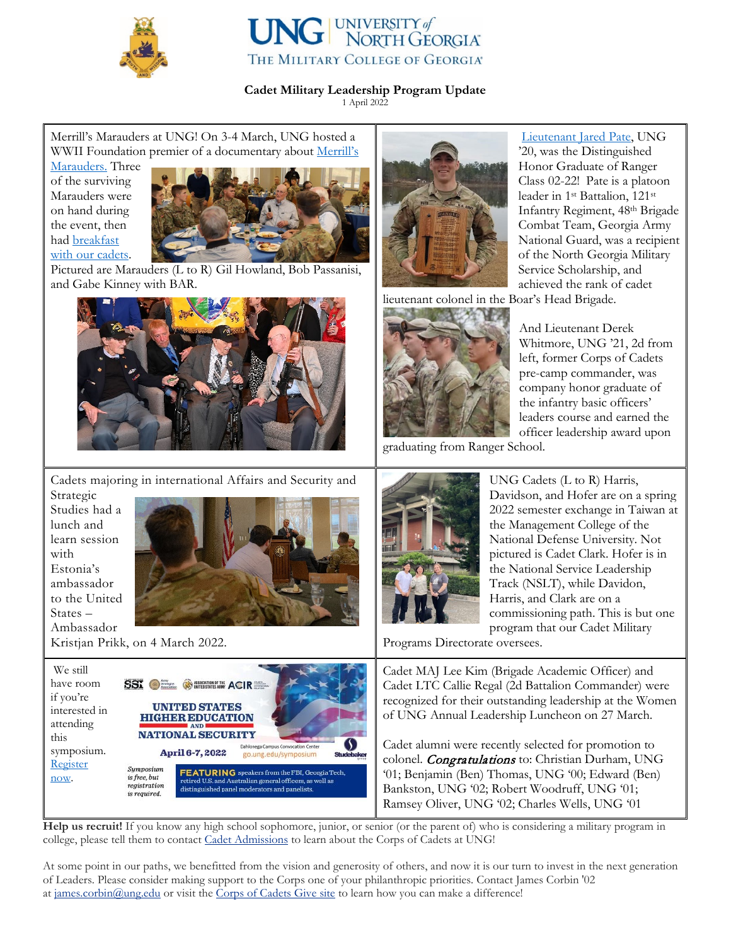

is required

# **UNG** UNIVERSITY of THE MILITARY COLLEGE OF GEORGIA®

### **Cadet Military Leadership Program Update**

1 April 2022

Merrill's Marauders at UNG! On 3-4 March, UNG hosted a WWII Foundation premier of a documentary about Merrill's

[Marauders.](https://ung.edu/news/articles/2022/02/world-war-ii-documentary-to-premiere-at-ung.php) Three of the surviving Marauders were on hand during the event, then had [breakfast](https://ung.edu/news/articles/2022/03/marauders-share-stories-with-cadets.php)  [with our cadets.](https://ung.edu/news/articles/2022/03/marauders-share-stories-with-cadets.php)



Pictured are Marauders (L to R) Gil Howland, Bob Passanisi, and Gabe Kinney with BAR.



[Lieutenant Jared Pate,](https://ung.edu/where-i-lead/alumni/pate-jared.php) UNG '20, was the Distinguished Honor Graduate of Ranger Class 02-22! Pate is a platoon leader in 1st Battalion, 121st Infantry Regiment, 48th Brigade Combat Team, Georgia Army National Guard, was a recipient of the North Georgia Military Service Scholarship, and achieved the rank of cadet

lieutenant colonel in the Boar's Head Brigade.

Ramsey Oliver, UNG '02; Charles Wells, UNG '01



And Lieutenant Derek Whitmore, UNG '21, 2d from left, former Corps of Cadets pre-camp commander, was company honor graduate of the infantry basic officers' leaders course and earned the officer leadership award upon

graduating from Ranger School.



**Help us recruit!** If you know any high school sophomore, junior, or senior (or the parent of) who is considering a military program in college, please tell them to contact Cadet [Admissions](https://ung.edu/military-college-admissions/index.php) to learn about the Corps of Cadets at UNG!

At some point in our paths, we benefitted from the vision and generosity of others, and now it is our turn to invest in the next generation of Leaders. Please consider making support to the Corps one of your philanthropic priorities. Contact James Corbin '02 at [james.corbin@ung.edu](mailto:james.corbin@ung.edu) or visit the Corps of [Cadets](https://unggive.org/corps-of-cadets) Give site to learn how you can make a difference!